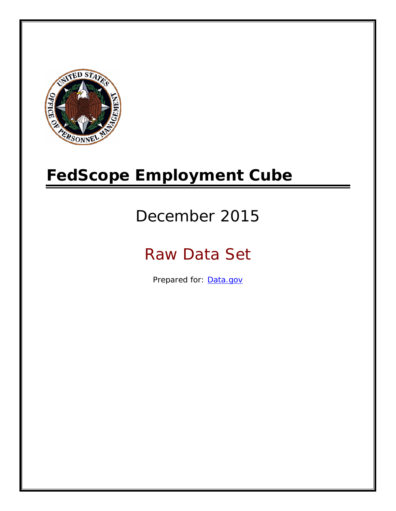

# **FedScope Employment Cube**

# December 2015

# Raw Data Set

Prepared for: [Data.gov](http://www.data.gov/)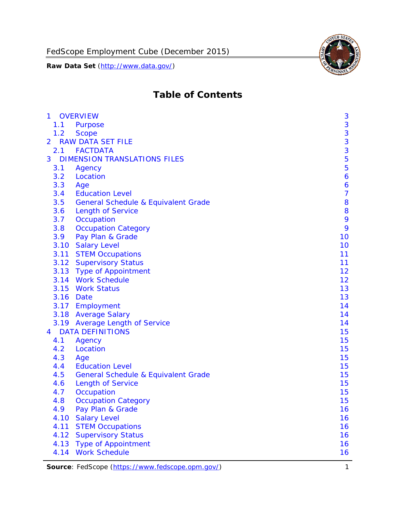FedScope Employment Cube (December 2015)

**Raw Data Set** (http://www.data.gov/)



# **Table of Contents**

| 1.1<br><b>Purpose</b><br>1.2<br><b>Scope</b>          | 3<br>3<br>3    |
|-------------------------------------------------------|----------------|
|                                                       |                |
|                                                       |                |
| <b>RAW DATA SET FILE</b><br>$\overline{2}$            |                |
| 2.1 FACTDATA                                          | 3              |
| <b>DIMENSION TRANSLATIONS FILES</b><br>3              | 5              |
| 3.1<br>Agency                                         | 5              |
| Location<br>3.2                                       | 6              |
| 3.3<br>Age                                            | 6              |
| 3.4<br><b>Education Level</b>                         | $\overline{7}$ |
| 3.5<br><b>General Schedule &amp; Equivalent Grade</b> | 8              |
| 3.6<br><b>Length of Service</b>                       | 8              |
| 3.7<br>Occupation                                     | 9              |
| 3.8<br><b>Occupation Category</b>                     | 9              |
| Pay Plan & Grade<br>3.9                               | 10             |
| 3.10<br><b>Salary Level</b>                           | 10             |
| 3.11<br><b>STEM Occupations</b>                       | 11             |
| 3.12 Supervisory Status                               | 11             |
| 3.13 Type of Appointment                              | 12             |
| 3.14 Work Schedule                                    | 12             |
| 3.15<br><b>Work Status</b>                            | 13             |
| 3.16 Date                                             | 13             |
| 3.17 Employment                                       | 14             |
| 3.18 Average Salary                                   | 14             |
| 3.19<br><b>Average Length of Service</b>              | 14             |
| <b>DATA DEFINITIONS</b><br>4                          | 15             |
| 4.1<br>Agency                                         | 15             |
| 4.2<br>Location                                       | 15             |
| 4.3<br>Age                                            | 15             |
| <b>Education Level</b><br>4.4                         | 15             |
| 4.5<br><b>General Schedule &amp; Equivalent Grade</b> | 15             |
| <b>Length of Service</b><br>4.6                       | 15             |
| 4.7<br>Occupation                                     | 15             |
| 4.8<br><b>Occupation Category</b>                     | 15             |
| 4.9<br>Pay Plan & Grade                               | 16             |
| 4.10<br><b>Salary Level</b>                           | 16             |
| 4.11<br><b>STEM Occupations</b>                       | 16             |
| 4.12<br><b>Supervisory Status</b>                     | 16             |
| 4.13<br><b>Type of Appointment</b>                    | 16             |
| <b>Work Schedule</b><br>4.14                          | 16             |

Source: FedScope (https://www.fedscope.opm.gov/) 1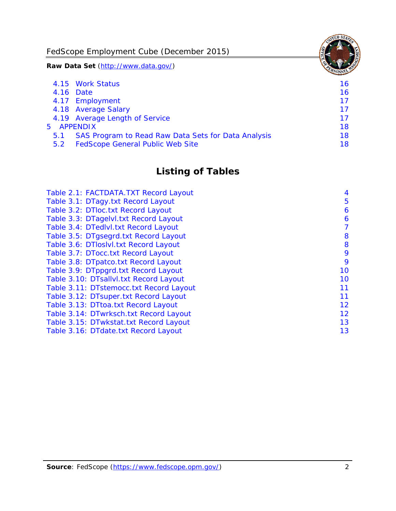FedScope Employment Cube (December 2015)

**Raw Data Set** (http://www.data.gov/)

|               | 4.15 Work Status                                    | 16 |
|---------------|-----------------------------------------------------|----|
|               | 4.16 Date                                           | 16 |
|               | 4.17 Employment                                     | 17 |
|               | 4.18 Average Salary                                 | 17 |
|               | 4.19 Average Length of Service                      | 17 |
|               | 5 APPENDIX                                          | 18 |
| 5.1           | SAS Program to Read Raw Data Sets for Data Analysis | 18 |
| $5.2^{\circ}$ | <b>FedScope General Public Web Site</b>             | 18 |

# **Listing of Tables**

| Table 2.1: FACTDATA.TXT Record Layout   | 4  |
|-----------------------------------------|----|
| Table 3.1: DTagy.txt Record Layout      | 5  |
| Table 3.2: DTloc.txt Record Layout      | 6  |
| Table 3.3: DTagelvl.txt Record Layout   | 6  |
| Table 3.4: DTedlvl.txt Record Layout    | 7  |
| Table 3.5: DTgsegrd.txt Record Layout   | 8  |
| Table 3.6: DTIoslvI.txt Record Layout   | 8  |
| Table 3.7: DTocc.txt Record Layout      | 9  |
| Table 3.8: DTpatco.txt Record Layout    | 9  |
| Table 3.9: DTppgrd.txt Record Layout    | 10 |
| Table 3.10: DTsallvl.txt Record Layout  | 10 |
| Table 3.11: DTstemocc.txt Record Layout | 11 |
| Table 3.12: DTsuper.txt Record Layout   | 11 |
| Table 3.13: DTtoa.txt Record Layout     | 12 |
| Table 3.14: DTwrksch.txt Record Layout  | 12 |
| Table 3.15: DTwkstat.txt Record Layout  | 13 |
| Table 3.16: DTdate.txt Record Layout    | 13 |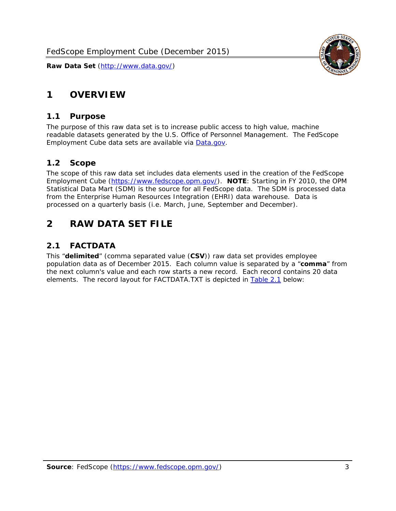# <span id="page-3-0"></span>**1 OVERVIEW**

#### *1.1 Purpose*

<span id="page-3-1"></span>The purpose of this raw data set is to increase public access to high value, machine readable datasets generated by the U.S. Office of Personnel Management. The FedScope Employment Cube data sets are available via [Data.gov](http://www.data.gov/).

## <span id="page-3-2"></span>*1.2 Scope*

The scope of this raw data set includes data elements used in the creation of the FedScope Employment Cube [\(https://www.fedscope.opm.gov/\)](https://www.fedscope.opm.gov/). **NOTE**: Starting in FY 2010, the OPM Statistical Data Mart (SDM) is the source for all FedScope data. The SDM is processed data from the Enterprise Human Resources Integration (EHRI) data warehouse. Data is processed on a quarterly basis (i.e. March, June, September and December).

# <span id="page-3-3"></span>**2 RAW DATA SET FILE**

# <span id="page-3-4"></span>*2.1 FACTDATA*

This "**delimited**" (comma separated value (**CSV**)) raw data set provides employee population data as of December 2015. Each column value is separated by a "**comma**" from the next column's value and each row starts a new record. Each record contains 20 data elements. The record layout for FACTDATA.TXT is depicted in [Table 2.1](#page-4-1) below:

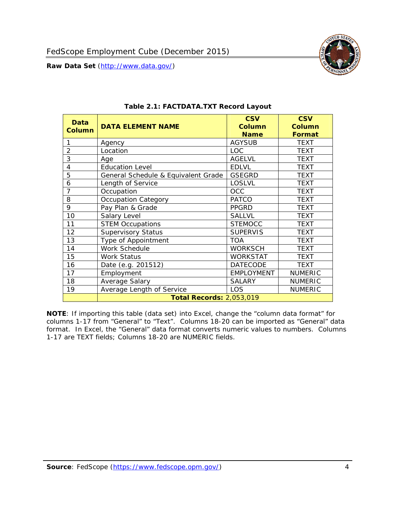

<span id="page-4-1"></span><span id="page-4-0"></span>

| Data<br><b>Column</b> | <b>DATA ELEMENT NAME</b>            | <b>CSV</b><br><b>Column</b><br><b>Name</b> | <b>CSV</b><br><b>Column</b><br><b>Format</b> |
|-----------------------|-------------------------------------|--------------------------------------------|----------------------------------------------|
| 1                     | Agency                              | <b>AGYSUB</b>                              | <b>TEXT</b>                                  |
| $\overline{2}$        | Location                            | <b>LOC</b>                                 | <b>TEXT</b>                                  |
| 3                     | Age                                 | <b>AGELVL</b>                              | <b>TEXT</b>                                  |
| 4                     | <b>Education Level</b>              | <b>EDLVL</b>                               | <b>TEXT</b>                                  |
| 5                     | General Schedule & Equivalent Grade | <b>GSEGRD</b>                              | <b>TEXT</b>                                  |
| 6                     | Length of Service                   | <b>LOSLVL</b>                              | <b>TEXT</b>                                  |
| 7                     | Occupation                          | <b>OCC</b>                                 | <b>TEXT</b>                                  |
| 8                     | <b>Occupation Category</b>          | <b>PATCO</b>                               | <b>TEXT</b>                                  |
| 9                     | Pay Plan & Grade                    | <b>PPGRD</b>                               | <b>TEXT</b>                                  |
| 10                    | Salary Level                        | <b>SALLVL</b>                              | <b>TEXT</b>                                  |
| 11                    | <b>STEM Occupations</b>             | <b>STEMOCC</b>                             | TEXT                                         |
| 12                    | <b>Supervisory Status</b>           | <b>SUPERVIS</b>                            | <b>TEXT</b>                                  |
| 13                    | Type of Appointment                 | <b>TOA</b>                                 | TEXT                                         |
| 14                    | Work Schedule                       | <b>WORKSCH</b>                             | <b>TEXT</b>                                  |
| 15                    | Work Status                         | <b>WORKSTAT</b>                            | TEXT                                         |
| 16                    | Date (e.g. 201512)                  | <b>DATECODE</b>                            | <b>TEXT</b>                                  |
| 17                    | Employment                          | <b>EMPLOYMENT</b>                          | <b>NUMERIC</b>                               |
| 18                    | Average Salary                      | <b>SALARY</b>                              | <b>NUMERIC</b>                               |
| 19                    | Average Length of Service           | LOS                                        | <b>NUMERIC</b>                               |
|                       | <b>Total Records: 2,053,019</b>     |                                            |                                              |

#### **Table 2.1: FACTDATA.TXT Record Layout**

**NOTE**: If importing this table (data set) into Excel, change the "column data format" for columns 1-17 from "General" to "Text". Columns 18-20 can be imported as "General" data format. In Excel, the "General" data format converts numeric values to numbers. Columns 1-17 are TEXT fields; Columns 18-20 are NUMERIC fields.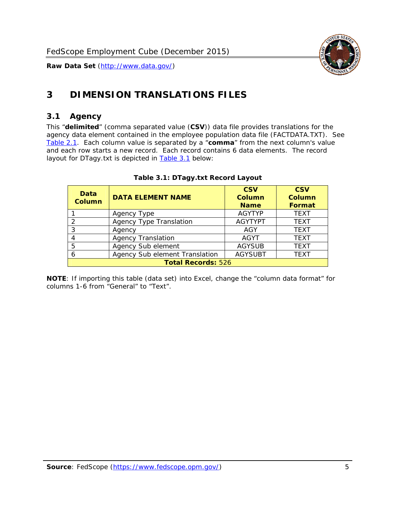

# <span id="page-5-0"></span>**3 DIMENSION TRANSLATIONS FILES**

#### <span id="page-5-1"></span>*3.1 Agency*

<span id="page-5-3"></span><span id="page-5-2"></span>This "**delimited**" (comma separated value (**CSV**)) data file provides translations for the agency data element contained in the employee population data file (FACTDATA.TXT). See [Table 2.1.](#page-4-1) Each column value is separated by a "**comma**" from the next column's value and each row starts a new record. Each record contains 6 data elements. The record layout for DTagy.txt is depicted in [Table 3.1](#page-5-3) below:

| Data<br>Column            | <b>DATA ELEMENT NAME</b>       | <b>CSV</b><br><b>Column</b><br><b>Name</b> | <b>CSV</b><br>Column<br><b>Format</b> |
|---------------------------|--------------------------------|--------------------------------------------|---------------------------------------|
|                           | Agency Type                    | <b>AGYTYP</b>                              | <b>TEXT</b>                           |
| 2                         | <b>Agency Type Translation</b> | <b>AGYTYPT</b>                             | <b>TEXT</b>                           |
| 3                         | Agency                         | AGY                                        | <b>TEXT</b>                           |
|                           | <b>Agency Translation</b>      | <b>AGYT</b>                                | <b>TEXT</b>                           |
| -5                        | Agency Sub element             | <b>AGYSUB</b>                              | <b>TEXT</b>                           |
|                           | Agency Sub element Translation | <b>AGYSUBT</b>                             | <b>TEXT</b>                           |
| <b>Total Records: 526</b> |                                |                                            |                                       |

#### **Table 3.1: DTagy.txt Record Layout**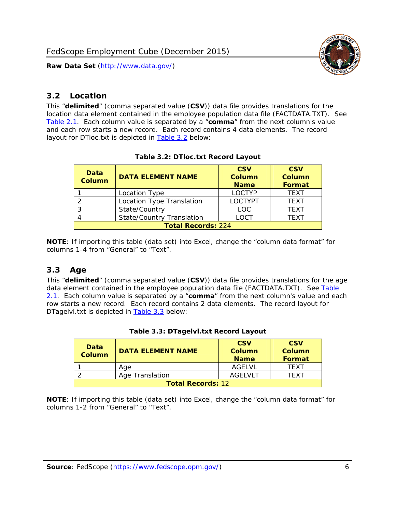

#### <span id="page-6-0"></span>*3.2 Location*

<span id="page-6-4"></span><span id="page-6-2"></span>This "**delimited**" (comma separated value (**CSV**)) data file provides translations for the location data element contained in the employee population data file (FACTDATA.TXT). See [Table 2.1.](#page-4-1) Each column value is separated by a "**comma**" from the next column's value and each row starts a new record. Each record contains 4 data elements. The record layout for DTloc.txt is depicted in [Table 3.2](#page-6-4) below:

| Data<br><b>Column</b>     | <b>DATA ELEMENT NAME</b>         | <b>CSV</b><br>Column<br><b>Name</b> | <b>CSV</b><br><b>Column</b><br><b>Format</b> |
|---------------------------|----------------------------------|-------------------------------------|----------------------------------------------|
|                           | Location Type                    | <b>LOCTYP</b>                       | <b>TEXT</b>                                  |
|                           | Location Type Translation        | <b>LOCTYPT</b>                      | <b>TEXT</b>                                  |
| ⌒                         | State/Country                    | <b>LOC</b>                          | <b>TFXT</b>                                  |
|                           | <b>State/Country Translation</b> | LOCT                                | <b>TFXT</b>                                  |
| <b>Total Records: 224</b> |                                  |                                     |                                              |

#### **Table 3.2: DTloc.txt Record Layout**

**NOTE**: If importing this table (data set) into Excel, change the "column data format" for columns 1-4 from "General" to "Text".

#### <span id="page-6-1"></span>*3.3 Age*

<span id="page-6-5"></span><span id="page-6-3"></span>This "**delimited**" (comma separated value (**CSV**)) data file provides translations for the age data element contained in the employee population data file (FACTDATA.TXT). See [Table](#page-4-1) [2.1](#page-4-1). Each column value is separated by a "**comma**" from the next column's value and each row starts a new record. Each record contains 2 data elements. The record layout for DTagelvl.txt is depicted in **[Table 3.3](#page-6-5)** below:

| Data<br><b>Column</b>    | <b>DATA ELEMENT NAME</b> | <b>CSV</b><br>Column<br><b>Name</b> | <b>CSV</b><br>Column<br><b>Format</b> |
|--------------------------|--------------------------|-------------------------------------|---------------------------------------|
|                          | Aae                      | AGFI VI                             | TFXT                                  |
|                          | Age Translation          | AGFI VI T                           | TFXT                                  |
| <b>Total Records: 12</b> |                          |                                     |                                       |

#### **Table 3.3: DTagelvl.txt Record Layout**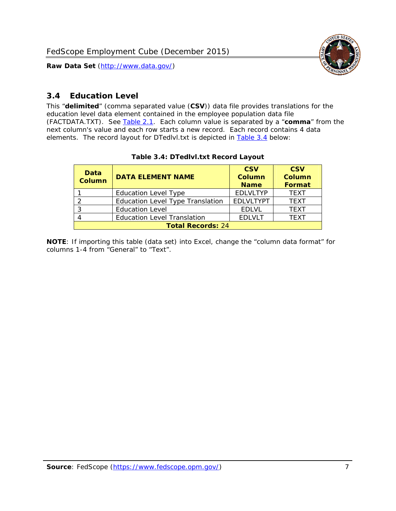

### <span id="page-7-0"></span>*3.4 Education Level*

<span id="page-7-2"></span><span id="page-7-1"></span>This "**delimited**" (comma separated value (**CSV**)) data file provides translations for the education level data element contained in the employee population data file (FACTDATA.TXT). See [Table 2.1](#page-4-1). Each column value is separated by a "**comma**" from the next column's value and each row starts a new record. Each record contains 4 data elements. The record layout for DTedlvl.txt is depicted in [Table 3.4](#page-7-2) below:

| Data<br><b>Column</b>    | <b>DATA ELEMENT NAME</b>           | <b>CSV</b><br><b>Column</b><br><b>Name</b> | <b>CSV</b><br><b>Column</b><br><b>Format</b> |
|--------------------------|------------------------------------|--------------------------------------------|----------------------------------------------|
|                          | <b>Education Level Type</b>        | <b>EDLVLTYP</b>                            | <b>TEXT</b>                                  |
|                          | Education Level Type Translation   | <b>EDLVLTYPT</b>                           | <b>TEXT</b>                                  |
|                          | <b>Education Level</b>             | <b>EDLVL</b>                               | <b>TEXT</b>                                  |
|                          | <b>Education Level Translation</b> | <b>EDLVLT</b>                              | <b>TEXT</b>                                  |
| <b>Total Records: 24</b> |                                    |                                            |                                              |

#### **Table 3.4: DTedlvl.txt Record Layout**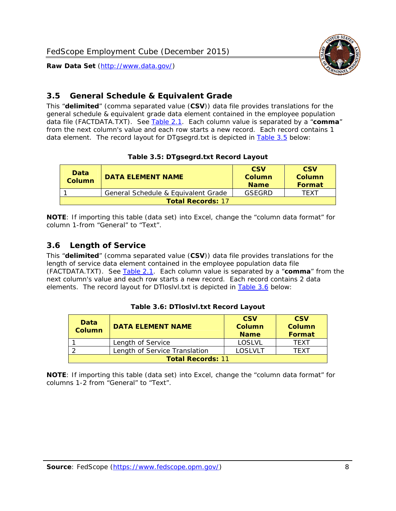<span id="page-8-0"></span>

This "**delimited**" (comma separated value (**CSV**)) data file provides translations for the general schedule & equivalent grade data element contained in the employee population data file (FACTDATA.TXT). See [Table 2.1](#page-4-1). Each column value is separated by a "**comma**" from the next column's value and each row starts a new record. Each record contains 1 data element. The record layout for DTgsegrd.txt is depicted in [Table 3.5](#page-8-4) below:

#### **Table 3.5: DTgsegrd.txt Record Layout**

<span id="page-8-4"></span><span id="page-8-2"></span>

| Data<br>Column           | <b>DATA ELEMENT NAME</b>            | <b>CSV</b><br>Column<br><b>Name</b> | <b>CSV</b><br>Column<br><b>Format</b> |
|--------------------------|-------------------------------------|-------------------------------------|---------------------------------------|
|                          | General Schedule & Equivalent Grade | GSFGRD                              | <b>TFXT</b>                           |
| <b>Total Records: 17</b> |                                     |                                     |                                       |

**NOTE**: If importing this table (data set) into Excel, change the "column data format" for column 1-from "General" to "Text".

#### <span id="page-8-1"></span>*3.6 Length of Service*

<span id="page-8-5"></span>This "**delimited**" (comma separated value (**CSV**)) data file provides translations for the length of service data element contained in the employee population data file (FACTDATA.TXT). See [Table 2.1](#page-4-1). Each column value is separated by a "**comma**" from the next column's value and each row starts a new record. Each record contains 2 data elements. The record layout for DTloslvl.txt is depicted in [Table 3.6](#page-8-5) below:

<span id="page-8-3"></span>

| Data<br><b>Column</b>    | <b>DATA ELEMENT NAME</b>      | <b>CSV</b><br><b>Column</b><br><b>Name</b> | <b>CSV</b><br>Column<br>Format |
|--------------------------|-------------------------------|--------------------------------------------|--------------------------------|
|                          | Length of Service             | LOSLVL                                     | TFXT                           |
|                          | Length of Service Translation | LOSI VLT                                   | TFXT                           |
| <b>Total Records: 11</b> |                               |                                            |                                |

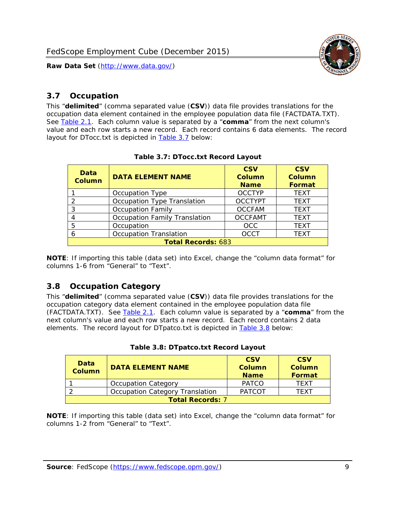

### <span id="page-9-0"></span>*3.7 Occupation*

<span id="page-9-4"></span>This "**delimited**" (comma separated value (**CSV**)) data file provides translations for the occupation data element contained in the employee population data file (FACTDATA.TXT). See [Table 2.1](#page-4-1). Each column value is separated by a "**comma**" from the next column's value and each row starts a new record. Each record contains 6 data elements. The record layout for DTocc.txt is depicted in [Table 3.7](#page-9-4) below:

<span id="page-9-2"></span>

| Data<br><b>Column</b>     | <b>DATA ELEMENT NAME</b>             | <b>CSV</b><br>Column<br><b>Name</b> | <b>CSV</b><br><b>Column</b><br><b>Format</b> |
|---------------------------|--------------------------------------|-------------------------------------|----------------------------------------------|
|                           | Occupation Type                      | <b>OCCTYP</b>                       | <b>TEXT</b>                                  |
|                           | Occupation Type Translation          | <b>OCCTYPT</b>                      | <b>TEXT</b>                                  |
| 3                         | <b>Occupation Family</b>             | <b>OCCFAM</b>                       | <b>TEXT</b>                                  |
|                           | <b>Occupation Family Translation</b> | <b>OCCFAMT</b>                      | <b>TEXT</b>                                  |
| 5                         | Occupation                           | <b>OCC</b>                          | <b>TEXT</b>                                  |
|                           | <b>Occupation Translation</b>        | <b>OCCT</b>                         | <b>TEXT</b>                                  |
| <b>Total Records: 683</b> |                                      |                                     |                                              |

#### **Table 3.7: DTocc.txt Record Layout**

**NOTE**: If importing this table (data set) into Excel, change the "column data format" for columns 1-6 from "General" to "Text".

#### <span id="page-9-1"></span>*3.8 Occupation Category*

<span id="page-9-5"></span>This "**delimited**" (comma separated value (**CSV**)) data file provides translations for the occupation category data element contained in the employee population data file (FACTDATA.TXT). See [Table 2.1](#page-4-1). Each column value is separated by a "**comma**" from the next column's value and each row starts a new record. Each record contains 2 data elements. The record layout for DTpatco.txt is depicted in [Table 3.8](#page-9-5) below:

<span id="page-9-3"></span>

| Data<br><b>Column</b>   | <b>DATA ELEMENT NAME</b>        | <b>CSV</b><br>Column<br><b>Name</b> | <b>CSV</b><br>Column<br>Format |  |
|-------------------------|---------------------------------|-------------------------------------|--------------------------------|--|
|                         | <b>Occupation Category</b>      | <b>PATCO</b>                        | <b>TFXT</b>                    |  |
|                         | Occupation Category Translation | <b>PATCOT</b>                       | TFXT                           |  |
| <b>Total Records: 7</b> |                                 |                                     |                                |  |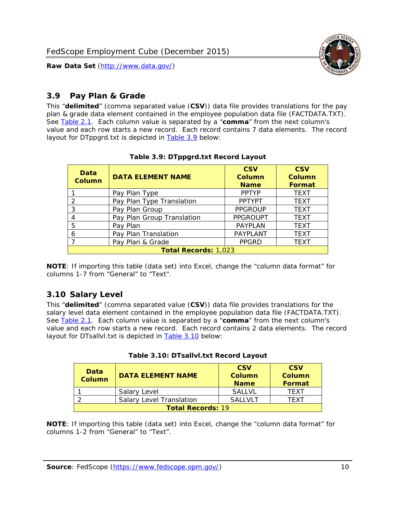

#### <span id="page-10-0"></span>*3.9 Pay Plan & Grade*

<span id="page-10-4"></span>This "**delimited**" (comma separated value (**CSV**)) data file provides translations for the pay plan & grade data element contained in the employee population data file (FACTDATA.TXT). See [Table 2.1](#page-4-1). Each column value is separated by a "**comma**" from the next column's value and each row starts a new record. Each record contains 7 data elements. The record layout for DTppgrd.txt is depicted in **Table 3.9** below:

<span id="page-10-2"></span>

| Data<br>Column              | <b>DATA ELEMENT NAME</b>   | <b>CSV</b><br>Column<br><b>Name</b> | <b>CSV</b><br>Column<br><b>Format</b> |  |
|-----------------------------|----------------------------|-------------------------------------|---------------------------------------|--|
|                             | Pay Plan Type              | <b>PPTYP</b>                        | <b>TEXT</b>                           |  |
| $\mathcal{P}$               | Pay Plan Type Translation  | <b>PPTYPT</b>                       | <b>TEXT</b>                           |  |
| 3                           | Pay Plan Group             | <b>PPGROUP</b>                      | <b>TEXT</b>                           |  |
|                             | Pay Plan Group Translation | <b>PPGROUPT</b>                     | <b>TEXT</b>                           |  |
| 5                           | Pay Plan                   | <b>PAYPLAN</b>                      | <b>TEXT</b>                           |  |
| 6                           | Pay Plan Translation       | <b>PAYPLANT</b>                     | <b>TEXT</b>                           |  |
|                             | Pay Plan & Grade           | <b>PPGRD</b>                        | <b>TEXT</b>                           |  |
| <b>Total Records: 1,023</b> |                            |                                     |                                       |  |

#### **Table 3.9: DTppgrd.txt Record Layout**

**NOTE**: If importing this table (data set) into Excel, change the "column data format" for columns 1-7 from "General" to "Text".

## <span id="page-10-1"></span>*3.10 Salary Level*

<span id="page-10-5"></span><span id="page-10-3"></span>This "**delimited**" (comma separated value (**CSV**)) data file provides translations for the salary level data element contained in the employee population data file (FACTDATA.TXT). See [Table 2.1](#page-4-1). Each column value is separated by a "**comma**" from the next column's value and each row starts a new record. Each record contains 2 data elements. The record layout for DTsallvl.txt is depicted in [Table 3.10](#page-10-5) below:

| <b>Data</b><br>Column    | <b>DATA ELEMENT NAME</b>        | <b>CSV</b><br>Column<br><b>Name</b> | <b>CSV</b><br>Column<br><b>Format</b> |
|--------------------------|---------------------------------|-------------------------------------|---------------------------------------|
|                          | Salary Level                    | <b>SALLVL</b>                       | TFXT                                  |
|                          | <b>Salary Level Translation</b> | SAI I VI T                          | TEXT                                  |
| <b>Total Records: 19</b> |                                 |                                     |                                       |

| Table 3.10: DTsallvl.txt Record Layout |  |
|----------------------------------------|--|
|----------------------------------------|--|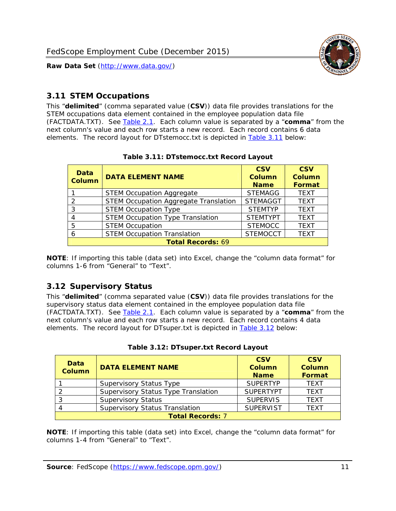

#### <span id="page-11-0"></span>*3.11 STEM Occupations*

<span id="page-11-4"></span>This "**delimited**" (comma separated value (**CSV**)) data file provides translations for the STEM occupations data element contained in the employee population data file (FACTDATA.TXT). See [Table 2.1](#page-4-1). Each column value is separated by a "**comma**" from the next column's value and each row starts a new record. Each record contains 6 data elements. The record layout for DTstemocc.txt is depicted in [Table 3.11](#page-11-4) below:

<span id="page-11-2"></span>

| <b>Data</b><br><b>Column</b> | <b>DATA ELEMENT NAME</b>                     | <b>CSV</b><br><b>Column</b><br><b>Name</b> | <b>CSV</b><br>Column<br><b>Format</b> |  |
|------------------------------|----------------------------------------------|--------------------------------------------|---------------------------------------|--|
|                              | <b>STEM Occupation Aggregate</b>             | <b>STEMAGG</b>                             | <b>TEXT</b>                           |  |
|                              | <b>STEM Occupation Aggregate Translation</b> | <b>STEMAGGT</b>                            | <b>TEXT</b>                           |  |
| 3                            | <b>STEM Occupation Type</b>                  | <b>STEMTYP</b>                             | <b>TEXT</b>                           |  |
|                              | <b>STEM Occupation Type Translation</b>      | <b>STEMTYPT</b>                            | <b>TEXT</b>                           |  |
| 5                            | <b>STEM Occupation</b>                       | <b>STEMOCC</b>                             | <b>TEXT</b>                           |  |
|                              | <b>STEM Occupation Translation</b>           | <b>STEMOCCT</b>                            | <b>TEXT</b>                           |  |
| <b>Total Records: 69</b>     |                                              |                                            |                                       |  |

#### **Table 3.11: DTstemocc.txt Record Layout**

**NOTE**: If importing this table (data set) into Excel, change the "column data format" for columns 1-6 from "General" to "Text".

# <span id="page-11-1"></span>*3.12 Supervisory Status*

This "**delimited**" (comma separated value (**CSV**)) data file provides translations for the supervisory status data element contained in the employee population data file (FACTDATA.TXT). See [Table 2.1](#page-4-1). Each column value is separated by a "**comma**" from the next column's value and each row starts a new record. Each record contains 4 data elements. The record layout for DTsuper.txt is depicted in [Table 3.12](#page-11-5) below:

<span id="page-11-5"></span><span id="page-11-3"></span>

| Data<br><b>Column</b>   | <b>DATA ELEMENT NAME</b>              | <b>CSV</b><br>Column<br><b>Name</b> | <b>CSV</b><br><b>Column</b><br>Format |  |
|-------------------------|---------------------------------------|-------------------------------------|---------------------------------------|--|
|                         | <b>Supervisory Status Type</b>        | <b>SUPFRTYP</b>                     | <b>TEXT</b>                           |  |
|                         | Supervisory Status Type Translation   | <b>SUPERTYPT</b>                    | <b>TEXT</b>                           |  |
|                         | <b>Supervisory Status</b>             | <b>SUPERVIS</b>                     | <b>TEXT</b>                           |  |
|                         | <b>Supervisory Status Translation</b> | <b>SUPERVIST</b>                    | <b>TEXT</b>                           |  |
| <b>Total Records: 7</b> |                                       |                                     |                                       |  |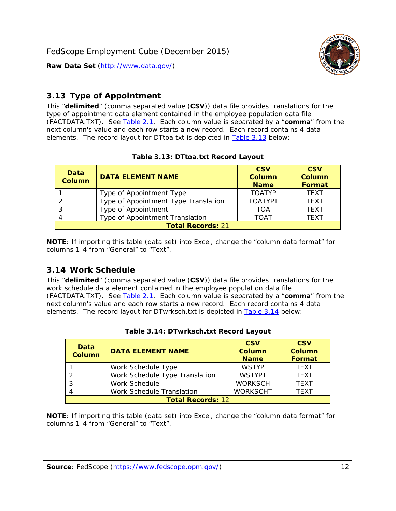

### <span id="page-12-0"></span>*3.13 Type of Appointment*

This "**delimited**" (comma separated value (**CSV**)) data file provides translations for the type of appointment data element contained in the employee population data file (FACTDATA.TXT). See [Table 2.1](#page-4-1). Each column value is separated by a "**comma**" from the next column's value and each row starts a new record. Each record contains 4 data elements. The record layout for DTtoa.txt is depicted in [Table 3.13](#page-12-4) below:

<span id="page-12-4"></span><span id="page-12-2"></span>

| Data<br><b>Column</b> | <b>DATA ELEMENT NAME</b>             | <b>CSV</b><br><b>Column</b><br><b>Name</b> | <b>CSV</b><br><b>Column</b><br>Format |
|-----------------------|--------------------------------------|--------------------------------------------|---------------------------------------|
|                       | Type of Appointment Type             | <b>TOATYP</b>                              | <b>TEXT</b>                           |
|                       | Type of Appointment Type Translation | <b>TOATYPT</b>                             | <b>TEXT</b>                           |
|                       | Type of Appointment                  | TOA                                        | <b>TEXT</b>                           |
|                       | Type of Appointment Translation      | TOAT                                       | <b>TFXT</b>                           |
|                       | <b>Total Records: 21</b>             |                                            |                                       |

#### **Table 3.13: DTtoa.txt Record Layout**

**NOTE**: If importing this table (data set) into Excel, change the "column data format" for columns 1-4 from "General" to "Text".

#### <span id="page-12-1"></span>*3.14 Work Schedule*

<span id="page-12-5"></span>This "**delimited**" (comma separated value (**CSV**)) data file provides translations for the work schedule data element contained in the employee population data file (FACTDATA.TXT). See [Table 2.1](#page-4-1). Each column value is separated by a "**comma**" from the next column's value and each row starts a new record. Each record contains 4 data elements. The record layout for DTwrksch.txt is depicted in [Table 3.14](#page-12-5) below:

<span id="page-12-3"></span>

| Data<br><b>Column</b>    | <b>DATA ELEMENT NAME</b>       | <b>CSV</b><br><b>Column</b><br><b>Name</b> | <b>CSV</b><br><b>Column</b><br>Format |  |
|--------------------------|--------------------------------|--------------------------------------------|---------------------------------------|--|
|                          | Work Schedule Type             | <b>WSTYP</b>                               | <b>TEXT</b>                           |  |
|                          | Work Schedule Type Translation | <b>WSTYPT</b>                              | <b>TFXT</b>                           |  |
| 3                        | Work Schedule                  | <b>WORKSCH</b>                             | <b>TFXT</b>                           |  |
|                          | Work Schedule Translation      | <b>WORKSCHT</b>                            | <b>TEXT</b>                           |  |
| <b>Total Records: 12</b> |                                |                                            |                                       |  |

|  | Table 3.14: DTwrksch.txt Record Layout |  |
|--|----------------------------------------|--|
|  |                                        |  |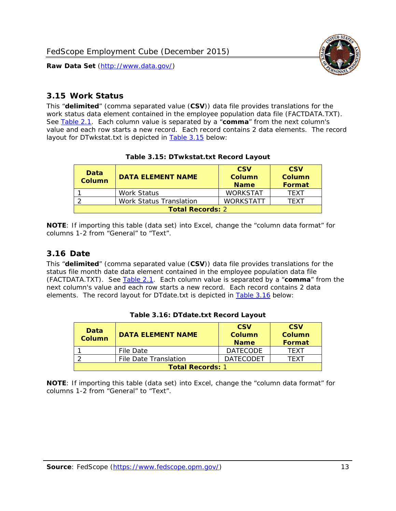

#### <span id="page-13-0"></span>*3.15 Work Status*

<span id="page-13-4"></span><span id="page-13-2"></span>This "**delimited**" (comma separated value (**CSV**)) data file provides translations for the work status data element contained in the employee population data file (FACTDATA.TXT). See [Table 2.1](#page-4-1). Each column value is separated by a "**comma**" from the next column's value and each row starts a new record. Each record contains 2 data elements. The record layout for DTwkstat.txt is depicted in [Table 3.15](#page-13-4) below:

| Data<br><b>Column</b>   | <b>DATA ELEMENT NAME</b>       | <b>CSV</b><br>Column<br><b>Name</b> | <b>CSV</b><br>Column<br><b>Format</b> |
|-------------------------|--------------------------------|-------------------------------------|---------------------------------------|
|                         | <b>Work Status</b>             | <b>WORKSTAT</b>                     | TFXT                                  |
|                         | <b>Work Status Translation</b> | <b>WORKSTATT</b>                    | TFXT                                  |
| <b>Total Records: 2</b> |                                |                                     |                                       |

#### **Table 3.15: DTwkstat.txt Record Layout**

**NOTE**: If importing this table (data set) into Excel, change the "column data format" for columns 1-2 from "General" to "Text".

#### <span id="page-13-1"></span>*3.16 Date*

<span id="page-13-5"></span><span id="page-13-3"></span>This "**delimited**" (comma separated value (**CSV**)) data file provides translations for the status file month date data element contained in the employee population data file (FACTDATA.TXT). See [Table 2.1](#page-4-1). Each column value is separated by a "**comma**" from the next column's value and each row starts a new record. Each record contains 2 data elements. The record layout for DTdate.txt is depicted in [Table 3.16](#page-13-5) below:

| Data<br><b>Column</b>   | <b>DATA ELEMENT NAME</b> | <b>CSV</b><br>Column<br><b>Name</b> | <b>CSV</b><br>Column<br><b>Format</b> |
|-------------------------|--------------------------|-------------------------------------|---------------------------------------|
|                         | File Date                | <b>DATECODE</b>                     | TFXT                                  |
|                         | File Date Translation    | <b>DATECODET</b>                    | TFXT                                  |
| <b>Total Records: 1</b> |                          |                                     |                                       |

**Table 3.16: DTdate.txt Record Layout**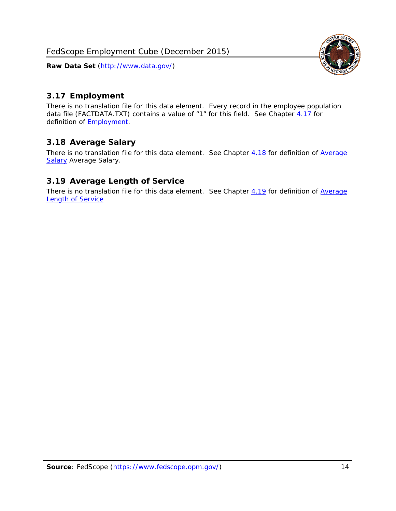

### <span id="page-14-0"></span>*3.17 Employment*

There is no translation file for this data element. Every record in the employee population data file (FACTDATA.TXT) contains a value of "1" for this field. See Chapter [4.17](#page-16-8) for definition of **Employment**.

#### <span id="page-14-1"></span>*3.18 Average Salary*

There is no translation file for this data element. See Chapter [4.18](#page-17-1) for definition of [Average](#page-17-1) **[Salary](#page-17-1) [Average Salary.](#page-17-1)** 

#### <span id="page-14-2"></span>*3.19 Average Length of Service*

There is no translation file for this data element. See Chapter [4.19](#page-17-2) for definition of [Average](#page-17-2) Length of Service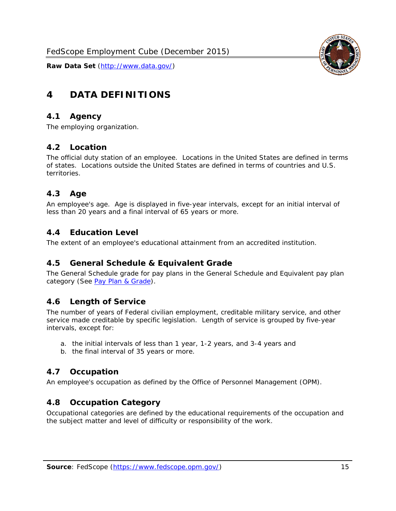

# <span id="page-15-0"></span>**4 DATA DEFINITIONS**

#### <span id="page-15-1"></span>*4.1 Agency*

The employing organization.

#### <span id="page-15-2"></span>*4.2 Location*

The official duty station of an employee. Locations in the United States are defined in terms of states. Locations outside the United States are defined in terms of countries and U.S. territories.

#### <span id="page-15-3"></span>*4.3 Age*

An employee's age. Age is displayed in five-year intervals, except for an initial interval of less than 20 years and a final interval of 65 years or more.

#### <span id="page-15-4"></span>*4.4 Education Level*

The extent of an employee's educational attainment from an accredited institution.

#### <span id="page-15-5"></span>*4.5 General Schedule & Equivalent Grade*

The General Schedule grade for pay plans in the General Schedule and Equivalent pay plan category (See [Pay Plan & Grade](#page-16-0)).

#### <span id="page-15-6"></span>*4.6 Length of Service*

The number of years of Federal civilian employment, creditable military service, and other service made creditable by specific legislation. Length of service is grouped by five-year intervals, except for:

- a. the initial intervals of less than 1 year, 1-2 years, and 3-4 years and
- b. the final interval of 35 years or more.

#### <span id="page-15-7"></span>*4.7 Occupation*

An employee's occupation as defined by the Office of Personnel Management (OPM).

#### <span id="page-15-8"></span>*4.8 Occupation Category*

Occupational categories are defined by the educational requirements of the occupation and the subject matter and level of difficulty or responsibility of the work.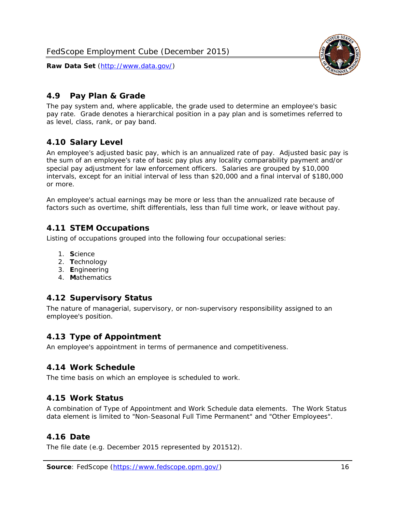

## <span id="page-16-0"></span>*4.9 Pay Plan & Grade*

The pay system and, where applicable, the grade used to determine an employee's basic pay rate. Grade denotes a hierarchical position in a pay plan and is sometimes referred to as level, class, rank, or pay band.

## <span id="page-16-1"></span>*4.10 Salary Level*

An employee's adjusted basic pay, which is an annualized rate of pay. Adjusted basic pay is the sum of an employee's rate of basic pay plus any locality comparability payment and/or special pay adjustment for law enforcement officers. Salaries are grouped by \$10,000 intervals, except for an initial interval of less than \$20,000 and a final interval of \$180,000 or more.

An employee's actual earnings may be more or less than the annualized rate because of factors such as overtime, shift differentials, less than full time work, or leave without pay.

#### <span id="page-16-2"></span>*4.11 STEM Occupations*

Listing of occupations grouped into the following four occupational series:

- 1. **S**cience
- 2. **T**echnology
- 3. **E**ngineering
- 4. **M**athematics

#### <span id="page-16-3"></span>*4.12 Supervisory Status*

The nature of managerial, supervisory, or non-supervisory responsibility assigned to an employee's position.

#### <span id="page-16-4"></span>*4.13 Type of Appointment*

An employee's appointment in terms of permanence and competitiveness.

#### <span id="page-16-5"></span>*4.14 Work Schedule*

The time basis on which an employee is scheduled to work.

#### <span id="page-16-6"></span>*4.15 Work Status*

A combination of Type of Appointment and Work Schedule data elements. The Work Status data element is limited to "Non-Seasonal Full Time Permanent" and "Other Employees".

#### <span id="page-16-7"></span>*4.16 Date*

<span id="page-16-8"></span>The file date (e.g. December 2015 represented by 201512).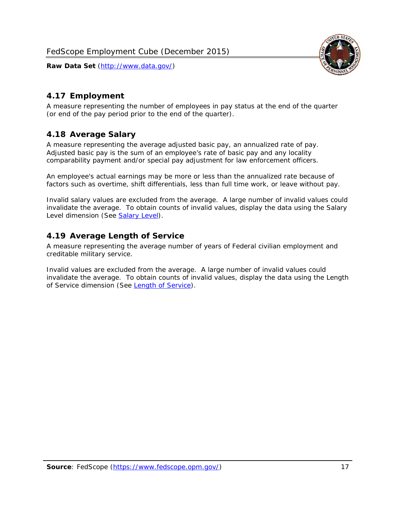

## <span id="page-17-0"></span>*4.17 Employment*

A measure representing the number of employees in pay status at the end of the quarter (or end of the pay period prior to the end of the quarter).

## <span id="page-17-1"></span>*4.18 Average Salary*

A measure representing the average adjusted basic pay, an annualized rate of pay. Adjusted basic pay is the sum of an employee's rate of basic pay and any locality comparability payment and/or special pay adjustment for law enforcement officers.

An employee's actual earnings may be more or less than the annualized rate because of factors such as overtime, shift differentials, less than full time work, or leave without pay.

Invalid salary values are excluded from the average. A large number of invalid values could invalidate the average. To obtain counts of invalid values, display the data using the Salary Level dimension (See [Salary Level\)](#page-16-1).

#### <span id="page-17-2"></span>*4.19 Average Length of Service*

A measure representing the average number of years of Federal civilian employment and creditable military service.

Invalid values are excluded from the average. A large number of invalid values could invalidate the average. To obtain counts of invalid values, display the data using the Length of Service dimension (See [Length of Service](#page-15-6)).